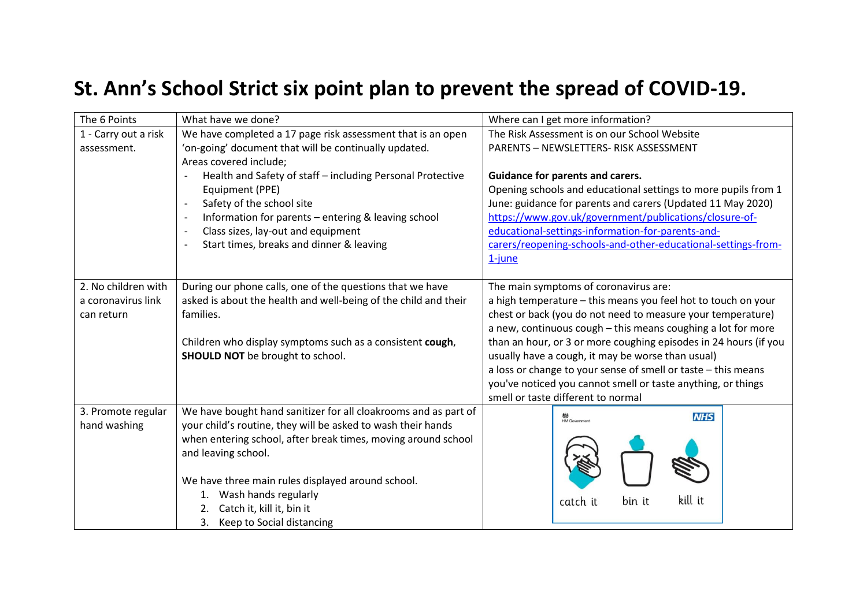## **St. Ann's School Strict six point plan to prevent the spread of COVID-19.**

| The 6 Points         | What have we done?                                                              | Where can I get more information?                                                                  |  |  |  |  |  |
|----------------------|---------------------------------------------------------------------------------|----------------------------------------------------------------------------------------------------|--|--|--|--|--|
| 1 - Carry out a risk | We have completed a 17 page risk assessment that is an open                     | The Risk Assessment is on our School Website                                                       |  |  |  |  |  |
| assessment.          | 'on-going' document that will be continually updated.                           | PARENTS - NEWSLETTERS- RISK ASSESSMENT                                                             |  |  |  |  |  |
|                      | Areas covered include;                                                          |                                                                                                    |  |  |  |  |  |
|                      | Health and Safety of staff - including Personal Protective<br>$\overline{a}$    | Guidance for parents and carers.                                                                   |  |  |  |  |  |
|                      | Equipment (PPE)                                                                 | Opening schools and educational settings to more pupils from 1                                     |  |  |  |  |  |
|                      | Safety of the school site<br>$\overline{\phantom{a}}$                           | June: guidance for parents and carers (Updated 11 May 2020)                                        |  |  |  |  |  |
|                      | Information for parents - entering & leaving school<br>$\overline{\phantom{a}}$ | https://www.gov.uk/government/publications/closure-of-                                             |  |  |  |  |  |
|                      | Class sizes, lay-out and equipment<br>$\overline{\phantom{a}}$                  | educational-settings-information-for-parents-and-                                                  |  |  |  |  |  |
|                      | Start times, breaks and dinner & leaving                                        | carers/reopening-schools-and-other-educational-settings-from-                                      |  |  |  |  |  |
|                      |                                                                                 | 1-june                                                                                             |  |  |  |  |  |
|                      |                                                                                 |                                                                                                    |  |  |  |  |  |
| 2. No children with  | During our phone calls, one of the questions that we have                       | The main symptoms of coronavirus are:                                                              |  |  |  |  |  |
| a coronavirus link   | asked is about the health and well-being of the child and their                 | a high temperature - this means you feel hot to touch on your                                      |  |  |  |  |  |
| can return           | families.                                                                       | chest or back (you do not need to measure your temperature)                                        |  |  |  |  |  |
|                      |                                                                                 | a new, continuous cough - this means coughing a lot for more                                       |  |  |  |  |  |
|                      | Children who display symptoms such as a consistent cough,                       | than an hour, or 3 or more coughing episodes in 24 hours (if you                                   |  |  |  |  |  |
|                      | <b>SHOULD NOT</b> be brought to school.                                         | usually have a cough, it may be worse than usual)                                                  |  |  |  |  |  |
|                      |                                                                                 | a loss or change to your sense of smell or taste - this means                                      |  |  |  |  |  |
|                      |                                                                                 | you've noticed you cannot smell or taste anything, or things<br>smell or taste different to normal |  |  |  |  |  |
| 3. Promote regular   | We have bought hand sanitizer for all cloakrooms and as part of                 |                                                                                                    |  |  |  |  |  |
| hand washing         | your child's routine, they will be asked to wash their hands                    | <b>NHS</b><br><b>HM Government</b>                                                                 |  |  |  |  |  |
|                      | when entering school, after break times, moving around school                   |                                                                                                    |  |  |  |  |  |
|                      | and leaving school.                                                             |                                                                                                    |  |  |  |  |  |
|                      |                                                                                 |                                                                                                    |  |  |  |  |  |
|                      | We have three main rules displayed around school.                               |                                                                                                    |  |  |  |  |  |
|                      | Wash hands regularly<br>1.                                                      |                                                                                                    |  |  |  |  |  |
|                      | Catch it, kill it, bin it                                                       | kill it<br>bin it<br>catch it                                                                      |  |  |  |  |  |
|                      | Keep to Social distancing<br>3.                                                 |                                                                                                    |  |  |  |  |  |